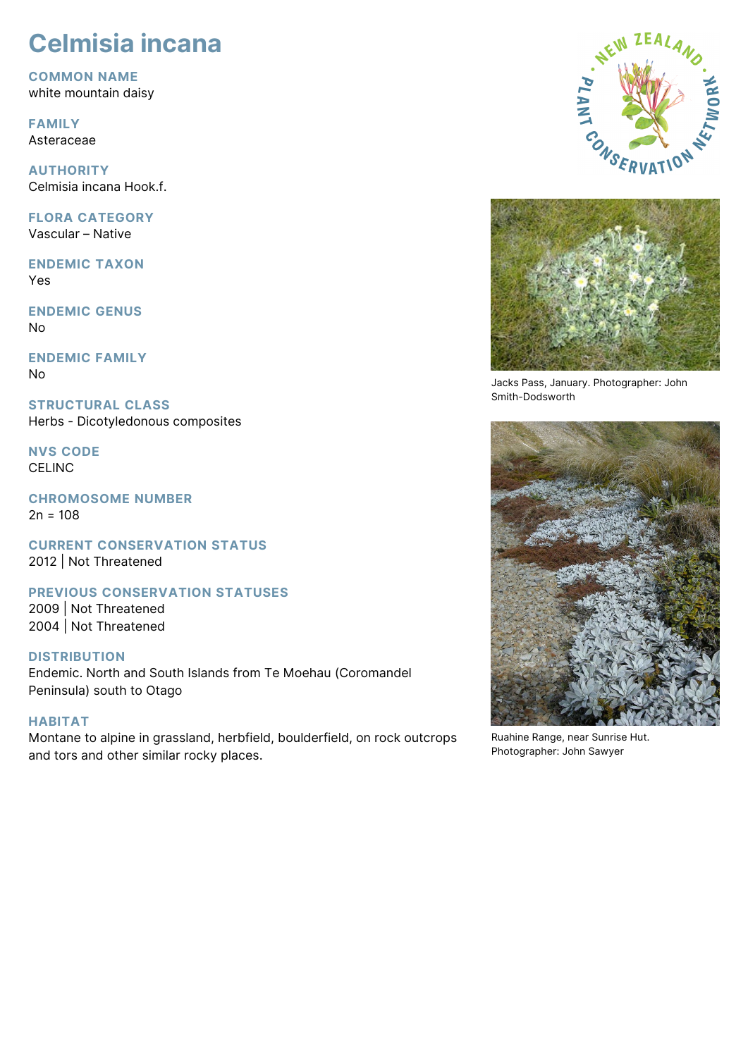# **Celmisia incana**

**COMMON NAME** white mountain daisy

**FAMILY** Asteraceae

**AUTHORITY** Celmisia incana Hook.f.

**FLORA CATEGORY** Vascular – Native

**ENDEMIC TAXON** Yes

**ENDEMIC GENUS** No

**ENDEMIC FAMILY** No

**STRUCTURAL CLASS** Herbs - Dicotyledonous composites

**NVS CODE CELINC** 

**CHROMOSOME NUMBER**  $2n = 108$ 

**CURRENT CONSERVATION STATUS** 2012 | Not Threatened

**PREVIOUS CONSERVATION STATUSES**

2009 | Not Threatened 2004 | Not Threatened

## **DISTRIBUTION**

Endemic. North and South Islands from Te Moehau (Coromandel Peninsula) south to Otago

# **HABITAT**

Montane to alpine in grassland, herbfield, boulderfield, on rock outcrops and tors and other similar rocky places.





Jacks Pass, January. Photographer: John Smith-Dodsworth



Ruahine Range, near Sunrise Hut. Photographer: John Sawyer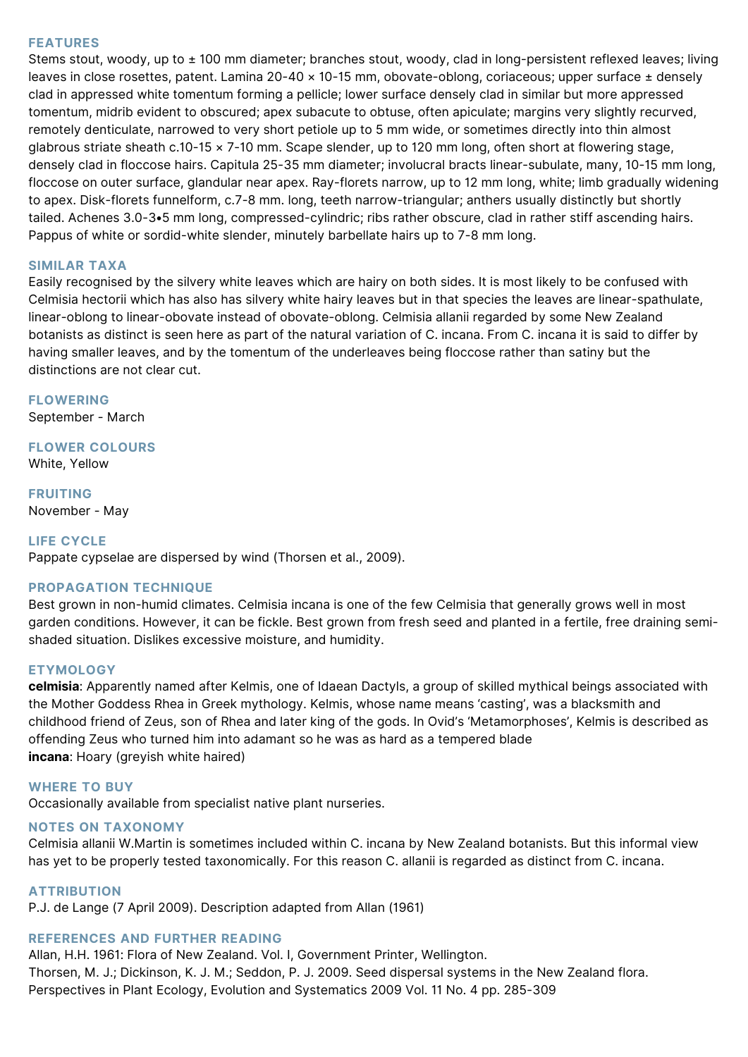## **FEATURES**

Stems stout, woody, up to ± 100 mm diameter; branches stout, woody, clad in long-persistent reflexed leaves; living leaves in close rosettes, patent. Lamina 20-40 × 10-15 mm, obovate-oblong, coriaceous; upper surface ± densely clad in appressed white tomentum forming a pellicle; lower surface densely clad in similar but more appressed tomentum, midrib evident to obscured; apex subacute to obtuse, often apiculate; margins very slightly recurved, remotely denticulate, narrowed to very short petiole up to 5 mm wide, or sometimes directly into thin almost glabrous striate sheath c.10-15 × 7-10 mm. Scape slender, up to 120 mm long, often short at flowering stage, densely clad in floccose hairs. Capitula 25-35 mm diameter; involucral bracts linear-subulate, many, 10-15 mm long, floccose on outer surface, glandular near apex. Ray-florets narrow, up to 12 mm long, white; limb gradually widening to apex. Disk-florets funnelform, c.7-8 mm. long, teeth narrow-triangular; anthers usually distinctly but shortly tailed. Achenes 3.0-3•5 mm long, compressed-cylindric; ribs rather obscure, clad in rather stiff ascending hairs. Pappus of white or sordid-white slender, minutely barbellate hairs up to 7-8 mm long.

## **SIMILAR TAXA**

Easily recognised by the silvery white leaves which are hairy on both sides. It is most likely to be confused with Celmisia hectorii which has also has silvery white hairy leaves but in that species the leaves are linear-spathulate, linear-oblong to linear-obovate instead of obovate-oblong. Celmisia allanii regarded by some New Zealand botanists as distinct is seen here as part of the natural variation of C. incana. From C. incana it is said to differ by having smaller leaves, and by the tomentum of the underleaves being floccose rather than satiny but the distinctions are not clear cut.

**FLOWERING** September - March

**FLOWER COLOURS**

White, Yellow

**FRUITING** November - May

## **LIFE CYCLE**

Pappate cypselae are dispersed by wind (Thorsen et al., 2009).

#### **PROPAGATION TECHNIQUE**

Best grown in non-humid climates. Celmisia incana is one of the few Celmisia that generally grows well in most garden conditions. However, it can be fickle. Best grown from fresh seed and planted in a fertile, free draining semishaded situation. Dislikes excessive moisture, and humidity.

#### **ETYMOLOGY**

**celmisia**: Apparently named after Kelmis, one of Idaean Dactyls, a group of skilled mythical beings associated with the Mother Goddess Rhea in Greek mythology. Kelmis, whose name means 'casting', was a blacksmith and childhood friend of Zeus, son of Rhea and later king of the gods. In Ovid's 'Metamorphoses', Kelmis is described as offending Zeus who turned him into adamant so he was as hard as a tempered blade **incana**: Hoary (greyish white haired)

#### **WHERE TO BUY**

Occasionally available from specialist native plant nurseries.

#### **NOTES ON TAXONOMY**

Celmisia allanii W.Martin is sometimes included within C. incana by New Zealand botanists. But this informal view has yet to be properly tested taxonomically. For this reason C. allanii is regarded as distinct from C. incana.

#### **ATTRIBUTION**

P.J. de Lange (7 April 2009). Description adapted from Allan (1961)

# **REFERENCES AND FURTHER READING**

Allan, H.H. 1961: Flora of New Zealand. Vol. I, Government Printer, Wellington. Thorsen, M. J.; Dickinson, K. J. M.; Seddon, P. J. 2009. Seed dispersal systems in the New Zealand flora. Perspectives in Plant Ecology, Evolution and Systematics 2009 Vol. 11 No. 4 pp. 285-309